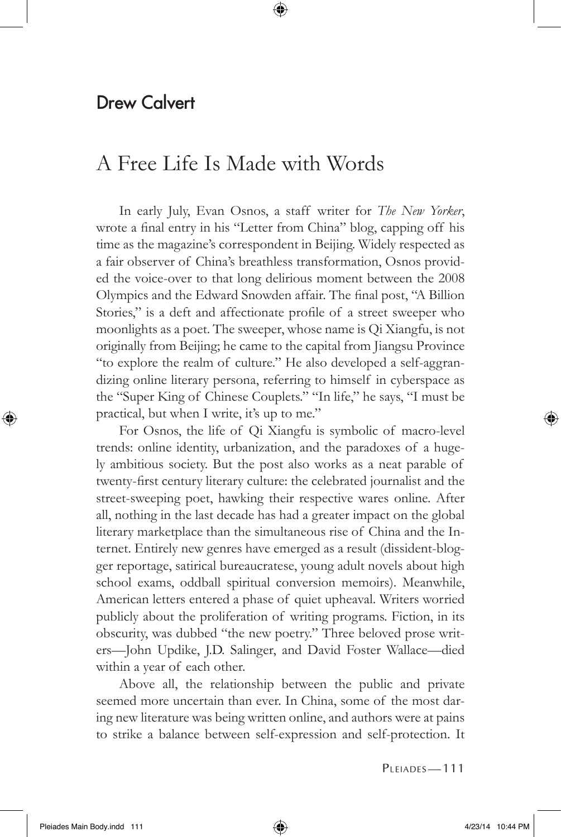## Drew Calvert

## A Free Life Is Made with Words

In early July, Evan Osnos, a staff writer for *The New Yorker*, wrote a final entry in his "Letter from China" blog, capping off his time as the magazine's correspondent in Beijing. Widely respected as a fair observer of China's breathless transformation, Osnos provided the voice-over to that long delirious moment between the 2008 Olympics and the Edward Snowden affair. The final post, "A Billion Stories," is a deft and affectionate profile of a street sweeper who moonlights as a poet. The sweeper, whose name is Qi Xiangfu, is not originally from Beijing; he came to the capital from Jiangsu Province "to explore the realm of culture." He also developed a self-aggrandizing online literary persona, referring to himself in cyberspace as the "Super King of Chinese Couplets." "In life," he says, "I must be practical, but when I write, it's up to me."

⊕

For Osnos, the life of Qi Xiangfu is symbolic of macro-level trends: online identity, urbanization, and the paradoxes of a hugely ambitious society. But the post also works as a neat parable of twenty-first century literary culture: the celebrated journalist and the street-sweeping poet, hawking their respective wares online. After all, nothing in the last decade has had a greater impact on the global literary marketplace than the simultaneous rise of China and the Internet. Entirely new genres have emerged as a result (dissident-blogger reportage, satirical bureaucratese, young adult novels about high school exams, oddball spiritual conversion memoirs). Meanwhile, American letters entered a phase of quiet upheaval. Writers worried publicly about the proliferation of writing programs. Fiction, in its obscurity, was dubbed "the new poetry." Three beloved prose writers-John Updike, J.D. Salinger, and David Foster Wallace-died within a year of each other.

Above all, the relationship between the public and private seemed more uncertain than ever. In China, some of the most daring new literature was being written online, and authors were at pains to strike a balance between self-expression and self-protection. It

PLEIADES-111

⊕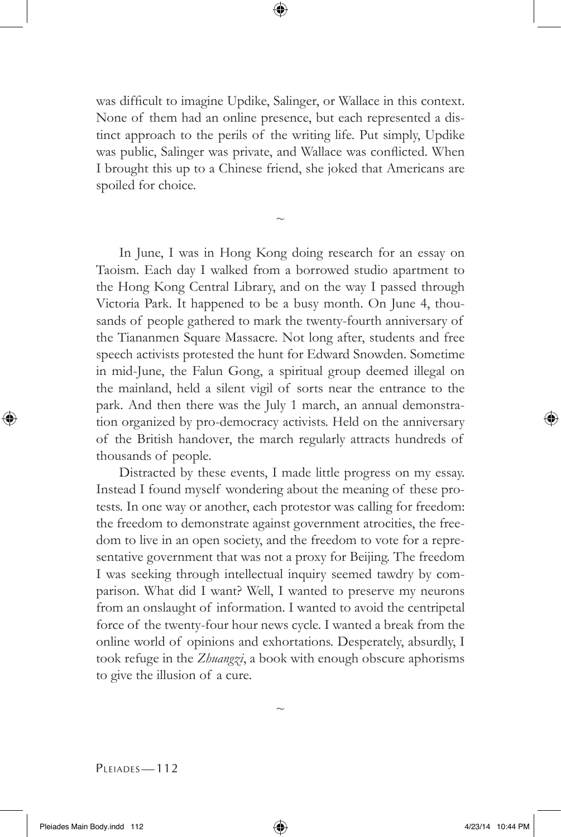⊕

was difficult to imagine Updike, Salinger, or Wallace in this context. None of them had an online presence, but each represented a distinct approach to the perils of the writing life. Put simply, Updike was public, Salinger was private, and Wallace was conflicted. When I brought this up to a Chinese friend, she joked that Americans are spoiled for choice.

 $\sim$ 

In June, I was in Hong Kong doing research for an essay on Taoism. Each day I walked from a borrowed studio apartment to the Hong Kong Central Library, and on the way I passed through Victoria Park. It happened to be a busy month. On June 4, thousands of people gathered to mark the twenty-fourth anniversary of the Tiananmen Square Massacre. Not long after, students and free speech activists protested the hunt for Edward Snowden. Sometime in mid-June, the Falun Gong, a spiritual group deemed illegal on the mainland, held a silent vigil of sorts near the entrance to the park. And then there was the July 1 march, an annual demonstration organized by pro-democracy activists. Held on the anniversary of the British handover, the march regularly attracts hundreds of thousands of people.

Distracted by these events, I made little progress on my essay. Instead I found myself wondering about the meaning of these protests. In one way or another, each protestor was calling for freedom: the freedom to demonstrate against government atrocities, the freedom to live in an open society, and the freedom to vote for a representative government that was not a proxy for Beijing. The freedom I was seeking through intellectual inquiry seemed tawdry by comparison. What did I want? Well, I wanted to preserve my neurons from an onslaught of information. I wanted to avoid the centripetal force of the twenty-four hour news cycle. I wanted a break from the online world of opinions and exhortations. Desperately, absurdly, I took refuge in the *Zhuangzi*, a book with enough obscure aphorisms to give the illusion of a cure.

PLEIADES-112

⊕

 $\sim$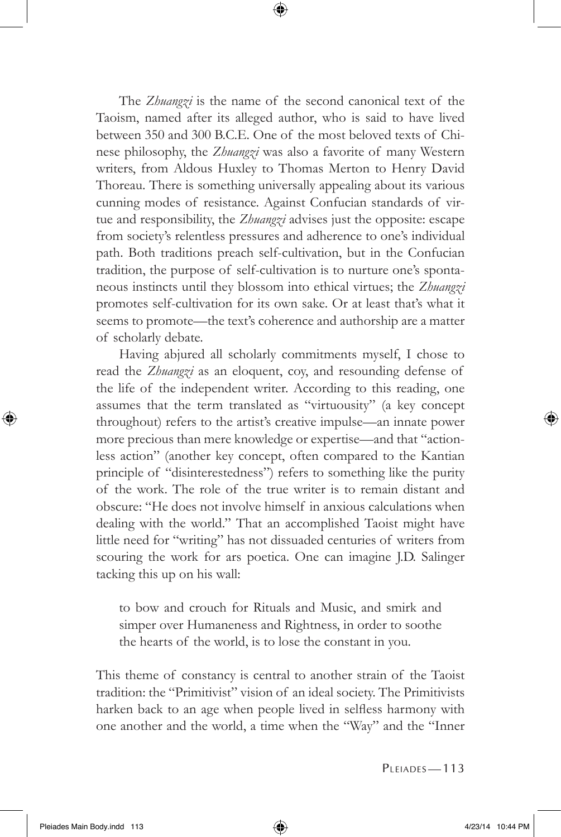The *Zhuangzi* is the name of the second canonical text of the Taoism, named after its alleged author, who is said to have lived between 350 and 300 B.C.E. One of the most beloved texts of Chinese philosophy, the *Zhuangzi* was also a favorite of many Western writers, from Aldous Huxley to Thomas Merton to Henry David Thoreau. There is something universally appealing about its various cunning modes of resistance. Against Confucian standards of virtue and responsibility, the *Zhuangzi* advises just the opposite: escape from society's relentless pressures and adherence to one's individual path. Both traditions preach self-cultivation, but in the Confucian tradition, the purpose of self-cultivation is to nurture one's spontaneous instincts until they blossom into ethical virtues; the *Zhuangzi*  promotes self-cultivation for its own sake. Or at least that's what it seems to promote—the text's coherence and authorship are a matter of scholarly debate.

⊕

Having abjured all scholarly commitments myself, I chose to read the *Zhuangzi* as an eloquent, coy, and resounding defense of the life of the independent writer. According to this reading, one assumes that the term translated as "virtuousity" (a key concept throughout) refers to the artist's creative impulse—an innate power more precious than mere knowledge or expertise—and that "actionless action" (another key concept, often compared to the Kantian principle of "disinterestedness") refers to something like the purity of the work. The role of the true writer is to remain distant and obscure: "He does not involve himself in anxious calculations when dealing with the world." That an accomplished Taoist might have little need for "writing" has not dissuaded centuries of writers from scouring the work for ars poetica. One can imagine J.D. Salinger tacking this up on his wall:

to bow and crouch for Rituals and Music, and smirk and simper over Humaneness and Rightness, in order to soothe the hearts of the world, is to lose the constant in you.

This theme of constancy is central to another strain of the Taoist tradition: the "Primitivist" vision of an ideal society. The Primitivists harken back to an age when people lived in selfless harmony with one another and the world, a time when the "Way" and the "Inner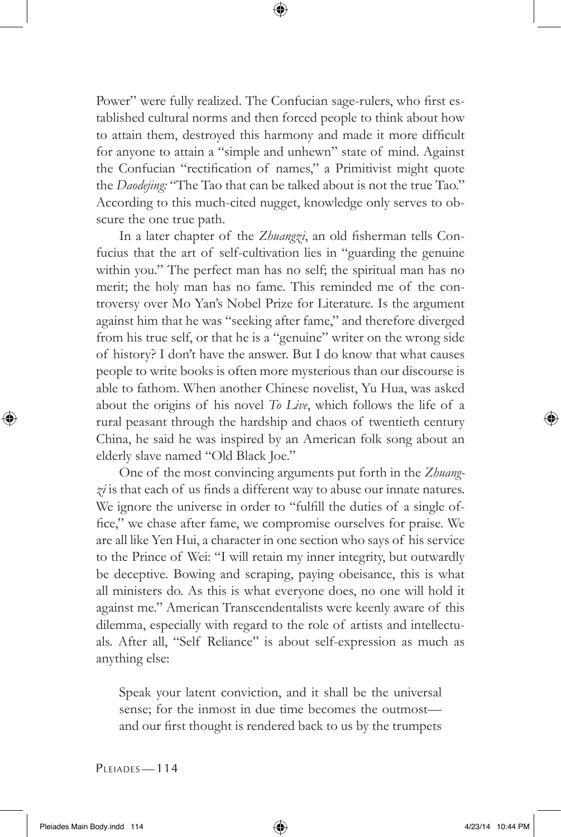Power" were fully realized. The Confucian sage-rulers, who first established cultural norms and then forced people to think about how to attain them, destroyed this harmony and made it more difficult for anyone to attain a "simple and unhewn" state of mind. Against the Confucian "rectification of names," a Primitivist might quote the *Daodejing:* "The Tao that can be talked about is not the true Tao." According to this much-cited nugget, knowledge only serves to obscure the one true path.

⊕

In a later chapter of the *Zhuangzi*, an old fisherman tells Confucius that the art of self-cultivation lies in "guarding the genuine within you." The perfect man has no self; the spiritual man has no merit; the holy man has no fame. This reminded me of the controversy over Mo Yan's Nobel Prize for Literature. Is the argument against him that he was "seeking after fame," and therefore diverged from his true self, or that he is a "genuine" writer on the wrong side of history? I don't have the answer. But I do know that what causes people to write books is often more mysterious than our discourse is able to fathom. When another Chinese novelist, Yu Hua, was asked about the origins of his novel *To Live*, which follows the life of a rural peasant through the hardship and chaos of twentieth century China, he said he was inspired by an American folk song about an elderly slave named "Old Black Joe."

One of the most convincing arguments put forth in the *Zhuang-* $\chi$ *i* is that each of us finds a different way to abuse our innate natures. We ignore the universe in order to "fulfill the duties of a single office," we chase after fame, we compromise ourselves for praise. We are all like Yen Hui, a character in one section who says of his service to the Prince of Wei: "I will retain my inner integrity, but outwardly be deceptive. Bowing and scraping, paying obeisance, this is what all ministers do. As this is what everyone does, no one will hold it against me." American Transcendentalists were keenly aware of this dilemma, especially with regard to the role of artists and intellectuals. After all, "Self Reliance" is about self-expression as much as anything else:

Speak your latent conviction, and it shall be the universal sense; for the inmost in due time becomes the outmost and our first thought is rendered back to us by the trumpets

PLEIADES-114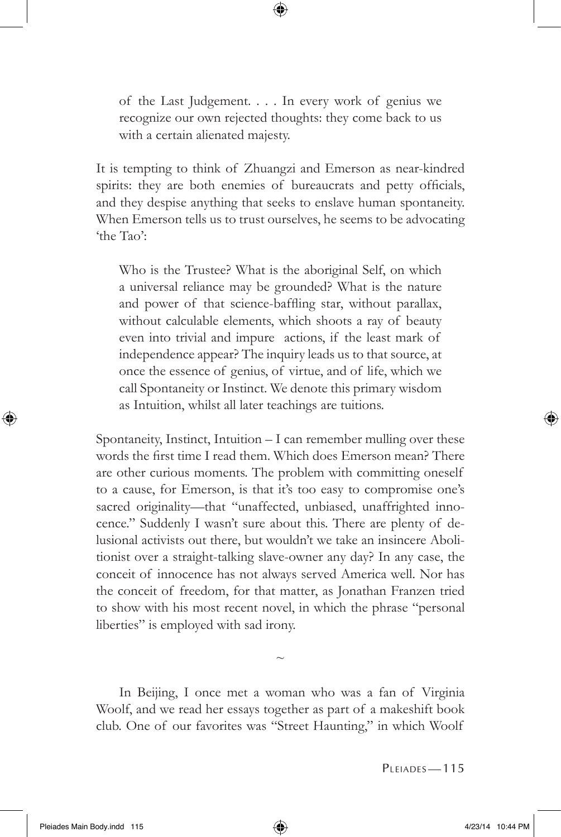of the Last Judgement. . . . In every work of genius we recognize our own rejected thoughts: they come back to us with a certain alienated majesty.

⊕

It is tempting to think of Zhuangzi and Emerson as near-kindred spirits: they are both enemies of bureaucrats and petty officials, and they despise anything that seeks to enslave human spontaneity. When Emerson tells us to trust ourselves, he seems to be advocating 'the Tao':

Who is the Trustee? What is the aboriginal Self, on which a universal reliance may be grounded? What is the nature and power of that science-baffling star, without parallax, without calculable elements, which shoots a ray of beauty even into trivial and impure actions, if the least mark of independence appear? The inquiry leads us to that source, at once the essence of genius, of virtue, and of life, which we call Spontaneity or Instinct. We denote this primary wisdom as Intuition, whilst all later teachings are tuitions.

Spontaneity, Instinct, Intuition – I can remember mulling over these words the first time I read them. Which does Emerson mean? There are other curious moments. The problem with committing oneself to a cause, for Emerson, is that it's too easy to compromise one's sacred originality—that "unaffected, unbiased, unaffrighted innocence." Suddenly I wasn't sure about this. There are plenty of delusional activists out there, but wouldn't we take an insincere Abolitionist over a straight-talking slave-owner any day? In any case, the conceit of innocence has not always served America well. Nor has the conceit of freedom, for that matter, as Jonathan Franzen tried to show with his most recent novel, in which the phrase "personal liberties" is employed with sad irony.

In Beijing, I once met a woman who was a fan of Virginia Woolf, and we read her essays together as part of a makeshift book club. One of our favorites was "Street Haunting," in which Woolf

 $\sim$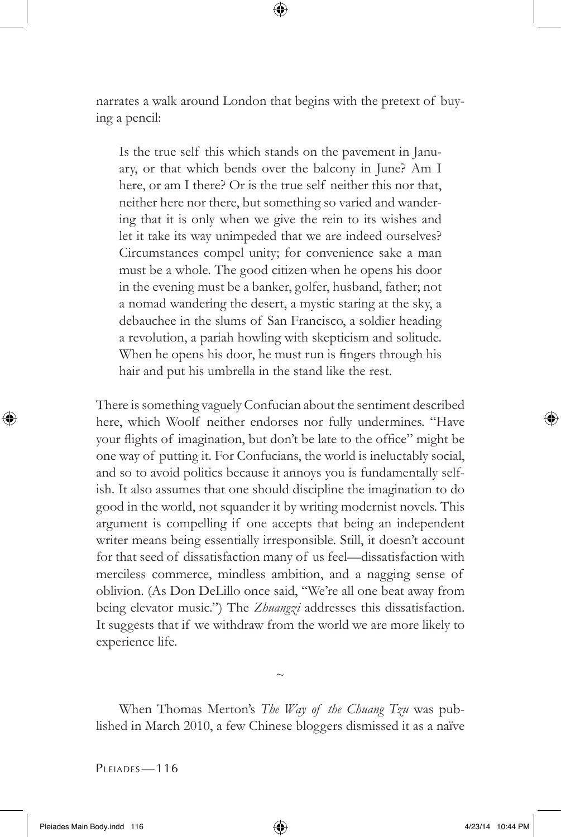narrates a walk around London that begins with the pretext of buying a pencil:

⊕

Is the true self this which stands on the pavement in January, or that which bends over the balcony in June? Am I here, or am I there? Or is the true self neither this nor that, neither here nor there, but something so varied and wandering that it is only when we give the rein to its wishes and let it take its way unimpeded that we are indeed ourselves? Circumstances compel unity; for convenience sake a man must be a whole. The good citizen when he opens his door in the evening must be a banker, golfer, husband, father; not a nomad wandering the desert, a mystic staring at the sky, a debauchee in the slums of San Francisco, a soldier heading a revolution, a pariah howling with skepticism and solitude. When he opens his door, he must run is fingers through his hair and put his umbrella in the stand like the rest.

There is something vaguely Confucian about the sentiment described here, which Woolf neither endorses nor fully undermines. "Have your flights of imagination, but don't be late to the office" might be one way of putting it. For Confucians, the world is ineluctably social, and so to avoid politics because it annoys you is fundamentally selfish. It also assumes that one should discipline the imagination to do good in the world, not squander it by writing modernist novels. This argument is compelling if one accepts that being an independent writer means being essentially irresponsible. Still, it doesn't account for that seed of dissatisfaction many of us feel—dissatisfaction with merciless commerce, mindless ambition, and a nagging sense of oblivion. (As Don DeLillo once said, "We're all one beat away from being elevator music.") The *Zhuangzi* addresses this dissatisfaction. It suggests that if we withdraw from the world we are more likely to experience life.

When Thomas Merton's *The Way of the Chuang Tzu* was published in March 2010, a few Chinese bloggers dismissed it as a naïve

 $\sim$ 

PLEIADES-116

Pleiades Main Body.indd 116 **4/23/14** 10:44 PM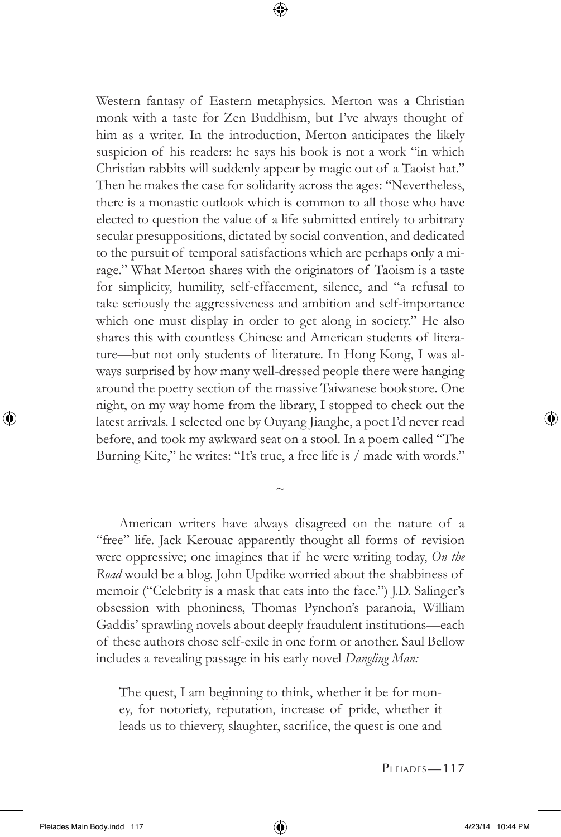Western fantasy of Eastern metaphysics. Merton was a Christian monk with a taste for Zen Buddhism, but I've always thought of him as a writer. In the introduction, Merton anticipates the likely suspicion of his readers: he says his book is not a work "in which Christian rabbits will suddenly appear by magic out of a Taoist hat." Then he makes the case for solidarity across the ages: "Nevertheless, there is a monastic outlook which is common to all those who have elected to question the value of a life submitted entirely to arbitrary secular presuppositions, dictated by social convention, and dedicated to the pursuit of temporal satisfactions which are perhaps only a mirage." What Merton shares with the originators of Taoism is a taste for simplicity, humility, self-effacement, silence, and "a refusal to take seriously the aggressiveness and ambition and self-importance which one must display in order to get along in society." He also shares this with countless Chinese and American students of literature—but not only students of literature. In Hong Kong, I was always surprised by how many well-dressed people there were hanging around the poetry section of the massive Taiwanese bookstore. One night, on my way home from the library, I stopped to check out the latest arrivals. I selected one by Ouyang Jianghe, a poet I'd never read before, and took my awkward seat on a stool. In a poem called "The Burning Kite," he writes: "It's true, a free life is / made with words."

⊕

American writers have always disagreed on the nature of a "free" life. Jack Kerouac apparently thought all forms of revision were oppressive; one imagines that if he were writing today, *On the*  Road would be a blog. John Updike worried about the shabbiness of memoir ("Celebrity is a mask that eats into the face.") J.D. Salinger's obsession with phoniness, Thomas Pynchon's paranoia, William Gaddis' sprawling novels about deeply fraudulent institutions—each of these authors chose self-exile in one form or another. Saul Bellow includes a revealing passage in his early novel *Dangling Man:* 

 $\sim$ 

The quest, I am beginning to think, whether it be for money, for notoriety, reputation, increase of pride, whether it leads us to thievery, slaughter, sacrifice, the quest is one and

PLEIADES-117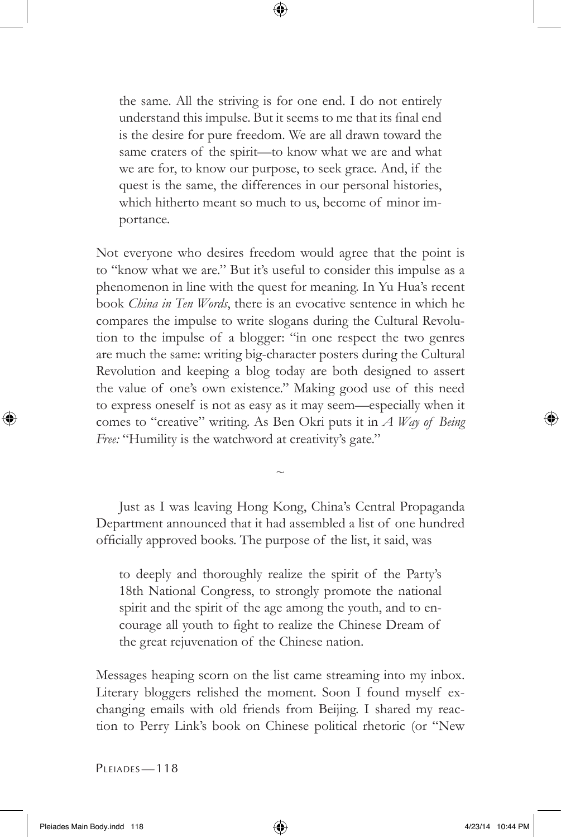the same. All the striving is for one end. I do not entirely understand this impulse. But it seems to me that its final end is the desire for pure freedom. We are all drawn toward the same craters of the spirit—to know what we are and what we are for, to know our purpose, to seek grace. And, if the quest is the same, the differences in our personal histories, which hitherto meant so much to us, become of minor importance.

⊕

Not everyone who desires freedom would agree that the point is to "know what we are." But it's useful to consider this impulse as a phenomenon in line with the quest for meaning. In Yu Hua's recent book *China in Ten Words*, there is an evocative sentence in which he compares the impulse to write slogans during the Cultural Revolution to the impulse of a blogger: "in one respect the two genres are much the same: writing big-character posters during the Cultural Revolution and keeping a blog today are both designed to assert the value of one's own existence." Making good use of this need to express oneself is not as easy as it may seem—especially when it comes to "creative" writing. As Ben Okri puts it in *A Way of Being*  Free: "Humility is the watchword at creativity's gate."

Just as I was leaving Hong Kong, China's Central Propaganda Department announced that it had assembled a list of one hundred officially approved books. The purpose of the list, it said, was

 $\sim$ 

to deeply and thoroughly realize the spirit of the Party's 18th National Congress, to strongly promote the national spirit and the spirit of the age among the youth, and to encourage all youth to fight to realize the Chinese Dream of the great rejuvenation of the Chinese nation.

Messages heaping scorn on the list came streaming into my inbox. Literary bloggers relished the moment. Soon I found myself exchanging emails with old friends from Beijing. I shared my reaction to Perry Link's book on Chinese political rhetoric (or "New

PLEIADES-118